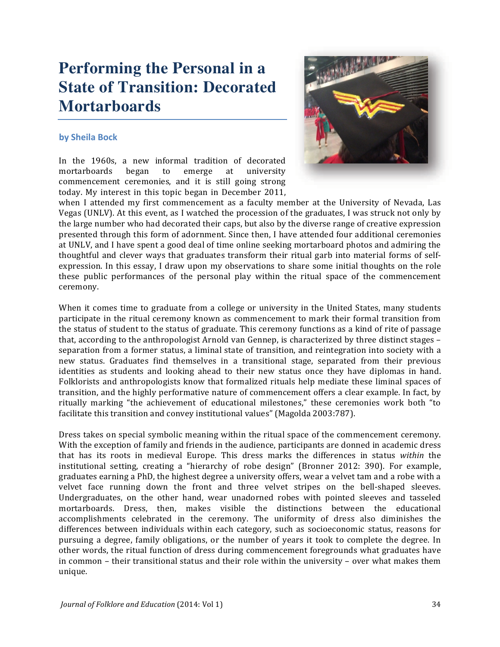# **Performing the Personal in a State of Transition: Decorated Mortarboards**

### by Sheila Bock

In the 1960s, a new informal tradition of decorated mortarboards began to emerge at university commencement ceremonies, and it is still going strong today. My interest in this topic began in December 2011,



when I attended my first commencement as a faculty member at the University of Nevada, Las Vegas (UNLV). At this event, as I watched the procession of the graduates, I was struck not only by the large number who had decorated their caps, but also by the diverse range of creative expression presented through this form of adornment. Since then, I have attended four additional ceremonies at UNLV, and I have spent a good deal of time online seeking mortarboard photos and admiring the thoughtful and clever ways that graduates transform their ritual garb into material forms of selfexpression. In this essay, I draw upon my observations to share some initial thoughts on the role these public performances of the personal play within the ritual space of the commencement ceremony.

When it comes time to graduate from a college or university in the United States, many students participate in the ritual ceremony known as commencement to mark their formal transition from the status of student to the status of graduate. This ceremony functions as a kind of rite of passage that, according to the anthropologist Arnold van Gennep, is characterized by three distinct stages – separation from a former status, a liminal state of transition, and reintegration into society with a new status. Graduates find themselves in a transitional stage, separated from their previous identities as students and looking ahead to their new status once they have diplomas in hand. Folklorists and anthropologists know that formalized rituals help mediate these liminal spaces of transition, and the highly performative nature of commencement offers a clear example. In fact, by ritually marking "the achievement of educational milestones," these ceremonies work both "to facilitate this transition and convey institutional values" (Magolda 2003:787).

Dress takes on special symbolic meaning within the ritual space of the commencement ceremony. With the exception of family and friends in the audience, participants are donned in academic dress that has its roots in medieval Europe. This dress marks the differences in status within the institutional setting, creating a "hierarchy of robe design" (Bronner 2012: 390). For example, graduates earning a PhD, the highest degree a university offers, wear a velvet tam and a robe with a velvet face running down the front and three velvet stripes on the bell-shaped sleeves. Undergraduates, on the other hand, wear unadorned robes with pointed sleeves and tasseled mortarboards. Dress, then, makes visible the distinctions between the educational accomplishments celebrated in the ceremony. The uniformity of dress also diminishes the differences between individuals within each category, such as socioeconomic status, reasons for pursuing a degree, family obligations, or the number of years it took to complete the degree. In other words, the ritual function of dress during commencement foregrounds what graduates have in common - their transitional status and their role within the university - over what makes them unique.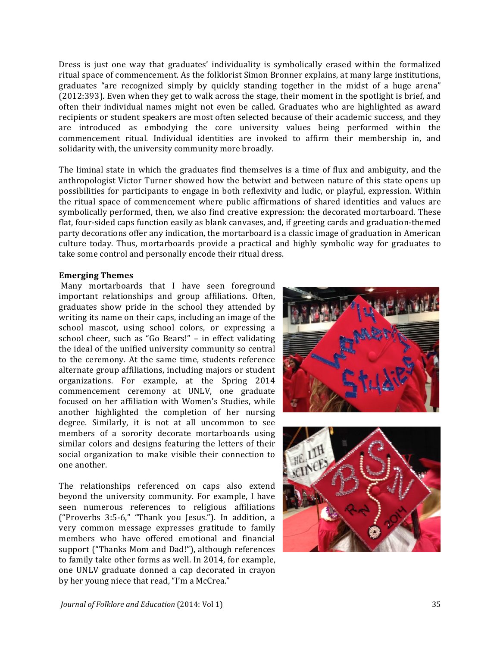Dress is just one way that graduates' individuality is symbolically erased within the formalized ritual space of commencement. As the folklorist Simon Bronner explains, at many large institutions, graduates "are recognized simply by quickly standing together in the midst of a huge arena" (2012:393). Even when they get to walk across the stage, their moment in the spotlight is brief, and often their individual names might not even be called. Graduates who are highlighted as award recipients or student speakers are most often selected because of their academic success, and they are introduced as embodying the core university values being performed within the commencement ritual. Individual identities are invoked to affirm their membership in, and solidarity with, the university community more broadly.

The liminal state in which the graduates find themselves is a time of flux and ambiguity, and the anthropologist Victor Turner showed how the betwixt and between nature of this state opens up possibilities for participants to engage in both reflexivity and ludic, or playful, expression. Within the ritual space of commencement where public affirmations of shared identities and values are symbolically performed, then, we also find creative expression: the decorated mortarboard. These flat, four-sided caps function easily as blank canvases, and, if greeting cards and graduation-themed party decorations offer any indication, the mortarboard is a classic image of graduation in American culture today. Thus, mortarboards provide a practical and highly symbolic way for graduates to take some control and personally encode their ritual dress.

#### **Emerging Themes**

Many mortarboards that I have seen foreground important relationships and group affiliations. Often, graduates show pride in the school they attended by writing its name on their caps, including an image of the school mascot, using school colors, or expressing a school cheer, such as "Go Bears!"  $-$  in effect validating the ideal of the unified university community so central to the ceremony. At the same time, students reference alternate group affiliations, including majors or student organizations. For example, at the Spring 2014 commencement ceremony at UNLV, one graduate focused on her affiliation with Women's Studies, while another highlighted the completion of her nursing degree. Similarly, it is not at all uncommon to see members of a sorority decorate mortarboards using similar colors and designs featuring the letters of their social organization to make visible their connection to one another.

The relationships referenced on caps also extend beyond the university community. For example, I have seen numerous references to religious affiliations ("Proverbs 3:5-6," "Thank you Jesus."). In addition, a very common message expresses gratitude to family members who have offered emotional and financial support ("Thanks Mom and Dad!"), although references to family take other forms as well. In 2014, for example, one UNLV graduate donned a cap decorated in crayon by her young niece that read, "I'm a McCrea."



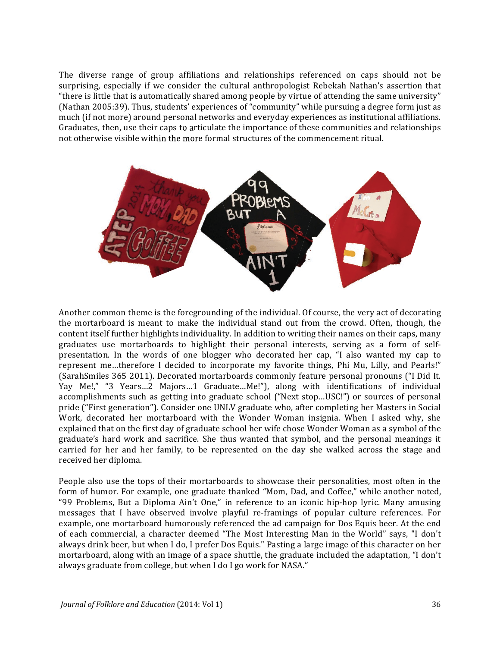The diverse range of group affiliations and relationships referenced on caps should not be surprising, especially if we consider the cultural anthropologist Rebekah Nathan's assertion that "there is little that is automatically shared among people by virtue of attending the same university" (Nathan 2005:39). Thus, students' experiences of "community" while pursuing a degree form just as much (if not more) around personal networks and everyday experiences as institutional affiliations. Graduates, then, use their caps to articulate the importance of these communities and relationships not otherwise visible within the more formal structures of the commencement ritual.



Another common theme is the foregrounding of the individual. Of course, the very act of decorating the mortarboard is meant to make the individual stand out from the crowd. Often, though, the content itself further highlights individuality. In addition to writing their names on their caps, many graduates use mortarboards to highlight their personal interests, serving as a form of selfpresentation. In the words of one blogger who decorated her cap, "I also wanted my cap to represent me...therefore I decided to incorporate my favorite things, Phi Mu, Lilly, and Pearls!" (SarahSmiles 365 2011). Decorated mortarboards commonly feature personal pronouns ("I Did It. Yay Me!," "3 Years...2 Majors...1 Graduate...Me!"), along with identifications of individual accomplishments such as getting into graduate school ("Next stop...USC!") or sources of personal pride ("First generation"). Consider one UNLV graduate who, after completing her Masters in Social Work, decorated her mortarboard with the Wonder Woman insignia. When I asked why, she explained that on the first day of graduate school her wife chose Wonder Woman as a symbol of the graduate's hard work and sacrifice. She thus wanted that symbol, and the personal meanings it carried for her and her family, to be represented on the day she walked across the stage and received her diploma.

People also use the tops of their mortarboards to showcase their personalities, most often in the form of humor. For example, one graduate thanked "Mom, Dad, and Coffee," while another noted, "99 Problems, But a Diploma Ain't One," in reference to an iconic hip-hop lyric. Many amusing messages that I have observed involve playful re-framings of popular culture references. For example, one mortarboard humorously referenced the ad campaign for Dos Equis beer. At the end of each commercial, a character deemed "The Most Interesting Man in the World" says, "I don't always drink beer, but when I do, I prefer Dos Equis." Pasting a large image of this character on her mortarboard, along with an image of a space shuttle, the graduate included the adaptation, "I don't always graduate from college, but when I do I go work for NASA."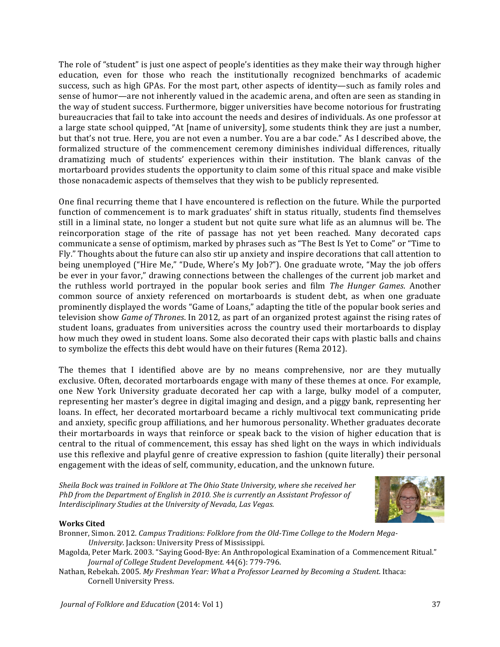The role of "student" is just one aspect of people's identities as they make their way through higher education, even for those who reach the institutionally recognized benchmarks of academic success, such as high GPAs. For the most part, other aspects of identity—such as family roles and sense of humor—are not inherently valued in the academic arena, and often are seen as standing in the way of student success. Furthermore, bigger universities have become notorious for frustrating bureaucracies that fail to take into account the needs and desires of individuals. As one professor at a large state school quipped, "At [name of university], some students think they are just a number, but that's not true. Here, you are not even a number. You are a bar code." As I described above, the formalized structure of the commencement ceremony diminishes individual differences, ritually dramatizing much of students' experiences within their institution. The blank canvas of the mortarboard provides students the opportunity to claim some of this ritual space and make visible those nonacademic aspects of themselves that they wish to be publicly represented.

One final recurring theme that I have encountered is reflection on the future. While the purported function of commencement is to mark graduates' shift in status ritually, students find themselves still in a liminal state, no longer a student but not quite sure what life as an alumnus will be. The reincorporation stage of the rite of passage has not yet been reached. Many decorated caps communicate a sense of optimism, marked by phrases such as "The Best Is Yet to Come" or "Time to Fly." Thoughts about the future can also stir up anxiety and inspire decorations that call attention to being unemployed ("Hire Me," "Dude, Where's My Job?"). One graduate wrote, "May the job offers be ever in your favor," drawing connections between the challenges of the current job market and the ruthless world portrayed in the popular book series and film *The Hunger Games*. Another common source of anxiety referenced on mortarboards is student debt, as when one graduate prominently displayed the words "Game of Loans," adapting the title of the popular book series and television show *Game of Thrones*. In 2012, as part of an organized protest against the rising rates of student loans, graduates from universities across the country used their mortarboards to display how much they owed in student loans. Some also decorated their caps with plastic balls and chains to symbolize the effects this debt would have on their futures (Rema 2012).

The themes that I identified above are by no means comprehensive, nor are they mutually exclusive. Often, decorated mortarboards engage with many of these themes at once. For example, one New York University graduate decorated her cap with a large, bulky model of a computer, representing her master's degree in digital imaging and design, and a piggy bank, representing her loans. In effect, her decorated mortarboard became a richly multivocal text communicating pride and anxiety, specific group affiliations, and her humorous personality. Whether graduates decorate their mortarboards in ways that reinforce or speak back to the vision of higher education that is central to the ritual of commencement, this essay has shed light on the ways in which individuals use this reflexive and playful genre of creative expression to fashion (quite literally) their personal engagement with the ideas of self, community, education, and the unknown future.

*Sheila Bock was trained in Folklore at The Ohio State University, where she received her* PhD from the Department of English in 2010. She is currently an Assistant Professor of *Interdisciplinary Studies at the University of Nevada, Las Vegas.* 



#### **Works Cited**

- Bronner, Simon. 2012. *Campus Traditions: Folklore from the Old-Time College to the Modern Mega-University*. Jackson: University Press of Mississippi.
- Magolda, Peter Mark. 2003. "Saying Good-Bye: An Anthropological Examination of a Commencement Ritual." Journal of College Student Development. 44(6): 779-796.
- Nathan, Rebekah. 2005. *My Freshman Year: What a Professor Learned by Becoming a Student.* Ithaca: Cornell University Press.